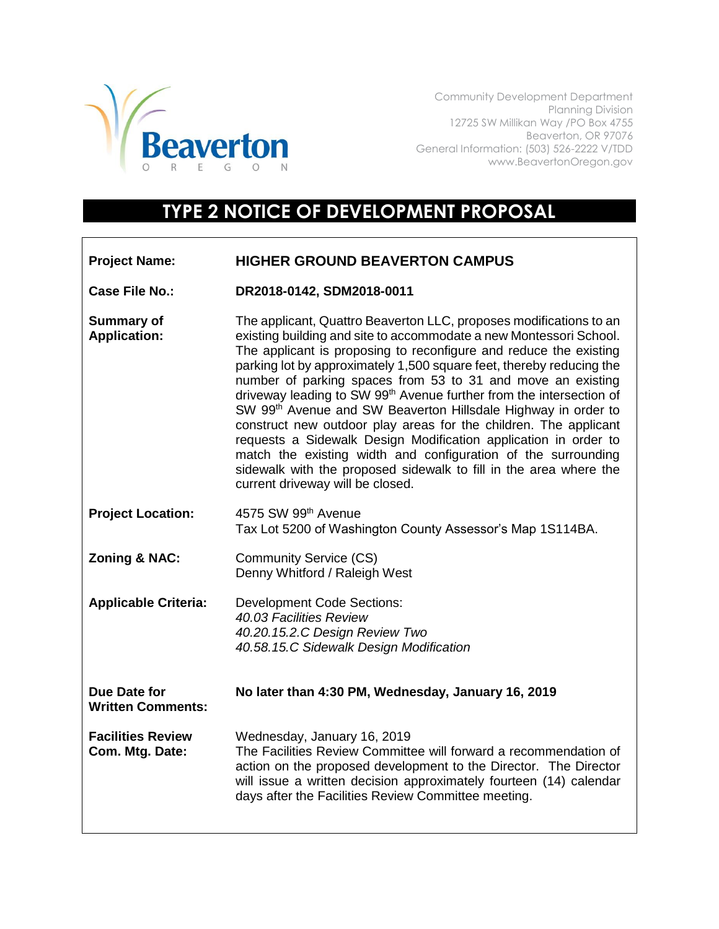

Community Development Department Planning Division 12725 SW Millikan Way /PO Box 4755 Beaverton, OR 97076 General Information: (503) 526-2222 V/TDD www.BeavertonOregon.gov

## **TYPE 2 NOTICE OF DEVELOPMENT PROPOSAL**

| <b>Project Name:</b>                        | <b>HIGHER GROUND BEAVERTON CAMPUS</b>                                                                                                                                                                                                                                                                                                                                                                                                                                                                                                                                                                                                                                                                                                                                                                                                 |
|---------------------------------------------|---------------------------------------------------------------------------------------------------------------------------------------------------------------------------------------------------------------------------------------------------------------------------------------------------------------------------------------------------------------------------------------------------------------------------------------------------------------------------------------------------------------------------------------------------------------------------------------------------------------------------------------------------------------------------------------------------------------------------------------------------------------------------------------------------------------------------------------|
| <b>Case File No.:</b>                       | DR2018-0142, SDM2018-0011                                                                                                                                                                                                                                                                                                                                                                                                                                                                                                                                                                                                                                                                                                                                                                                                             |
| <b>Summary of</b><br><b>Application:</b>    | The applicant, Quattro Beaverton LLC, proposes modifications to an<br>existing building and site to accommodate a new Montessori School.<br>The applicant is proposing to reconfigure and reduce the existing<br>parking lot by approximately 1,500 square feet, thereby reducing the<br>number of parking spaces from 53 to 31 and move an existing<br>driveway leading to SW 99 <sup>th</sup> Avenue further from the intersection of<br>SW 99 <sup>th</sup> Avenue and SW Beaverton Hillsdale Highway in order to<br>construct new outdoor play areas for the children. The applicant<br>requests a Sidewalk Design Modification application in order to<br>match the existing width and configuration of the surrounding<br>sidewalk with the proposed sidewalk to fill in the area where the<br>current driveway will be closed. |
| <b>Project Location:</b>                    | 4575 SW 99th Avenue<br>Tax Lot 5200 of Washington County Assessor's Map 1S114BA.                                                                                                                                                                                                                                                                                                                                                                                                                                                                                                                                                                                                                                                                                                                                                      |
| <b>Zoning &amp; NAC:</b>                    | <b>Community Service (CS)</b><br>Denny Whitford / Raleigh West                                                                                                                                                                                                                                                                                                                                                                                                                                                                                                                                                                                                                                                                                                                                                                        |
| <b>Applicable Criteria:</b>                 | <b>Development Code Sections:</b><br>40.03 Facilities Review<br>40.20.15.2.C Design Review Two<br>40.58.15.C Sidewalk Design Modification                                                                                                                                                                                                                                                                                                                                                                                                                                                                                                                                                                                                                                                                                             |
| Due Date for<br><b>Written Comments:</b>    | No later than 4:30 PM, Wednesday, January 16, 2019                                                                                                                                                                                                                                                                                                                                                                                                                                                                                                                                                                                                                                                                                                                                                                                    |
| <b>Facilities Review</b><br>Com. Mtg. Date: | Wednesday, January 16, 2019<br>The Facilities Review Committee will forward a recommendation of<br>action on the proposed development to the Director. The Director<br>will issue a written decision approximately fourteen (14) calendar<br>days after the Facilities Review Committee meeting.                                                                                                                                                                                                                                                                                                                                                                                                                                                                                                                                      |